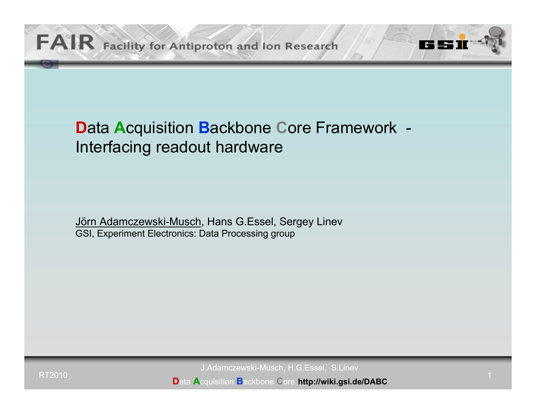# **D**ata **A**cquisition **B**ackbone **C**ore Framework - Interfacing readout hardware

Jörn Adamczewski-Musch, Hans G.Essel, Sergey Linev GSI, Experiment Electronics: Data Processing group

J.Adamczewski-Musch, H.G.Essel, S.Linev

**D**ata **A**cquisition **B**ackbone **C**ore **http://wiki.gsi.de/DABC**

TZ I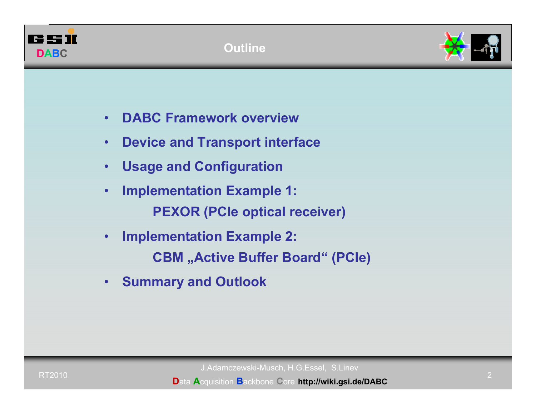



- •**DABC Framework overview**
- •**Device and Transport interface**
- •**Usage and Configuration**
- • **Implementation Example 1: PEXOR (PCIe optical receiver)**
- • **Implementation Example 2: CBM** "Active Buffer Board" (PCIe)
- •**Summary and Outlook**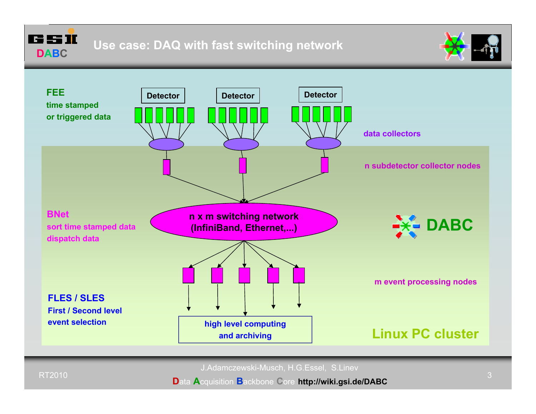



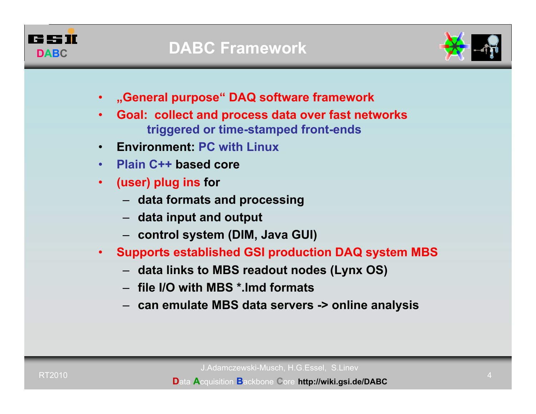



- •**"General purpose" DAQ software framework**
- • **Goal: collect and process data over fast networks triggered or time-stamped front-ends**
- •**Environment: PC with Linux**
- **Plain C++ based core**
- $\bullet$  **(user) plug ins for**
	- **data formats and processing**
	- **data input and output**
	- **control system (DIM, Java GUI)**
- • **Supports established GSI production DAQ system MBS**
	- **data links to MBS readout nodes (Lynx OS)**
	- **file I/O with MBS \*.lmd formats**
	- **can emulate MBS data servers -> online analysis**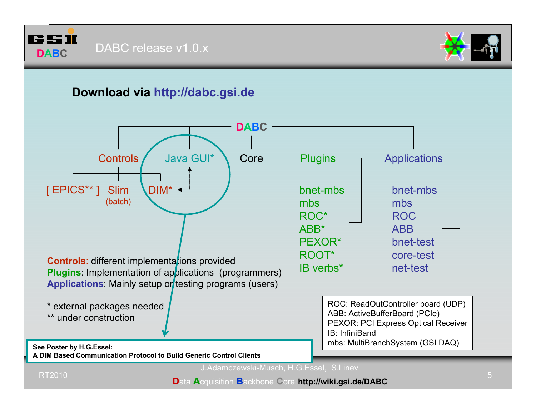



#### **Download via http://dabc.gsi.de**

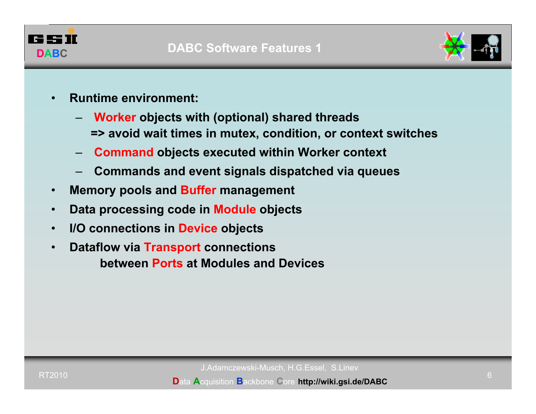



- • **Runtime environment:** 
	- **Worker objects with (optional) shared threads**
		- **=> avoid wait times in mutex, condition, or context switches**
	- **Command objects executed within Worker context**
	- **Commands and event signals dispatched via queues**
- •**Memory pools and Buffer management**
- •**Data processing code in Module objects**
- •**I/O connections in Device objects**
- • **Dataflow via Transport connections between Ports at Modules and Devices**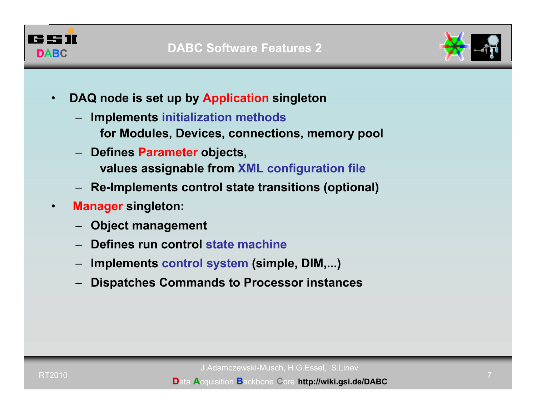



- • **DAQ node is set up by Application singleton**
	- **Implements initialization methods**
		- **for Modules, Devices, connections, memory pool**
	- **Defines Parameter objects, values assignable from XML configuration file**
	- **Re-Implements control state transitions (optional)**
- • **Manager singleton:** 
	- **Object management**
	- **Defines run control state machine**
	- **Implements control system (simple, DIM,...)**
	- **Dispatches Commands to Processor instances**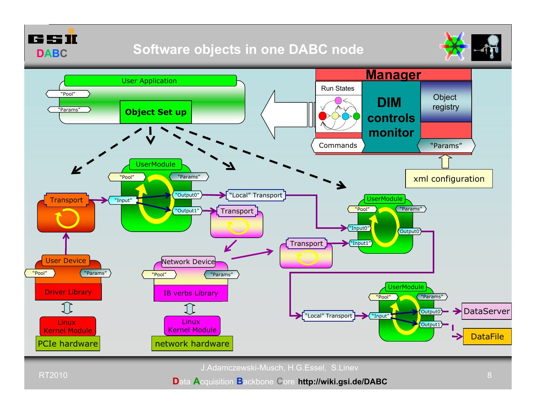

### **Software objects in one DABC node**





J.Adamczewski-Musch, H.G.Essel, S.Linev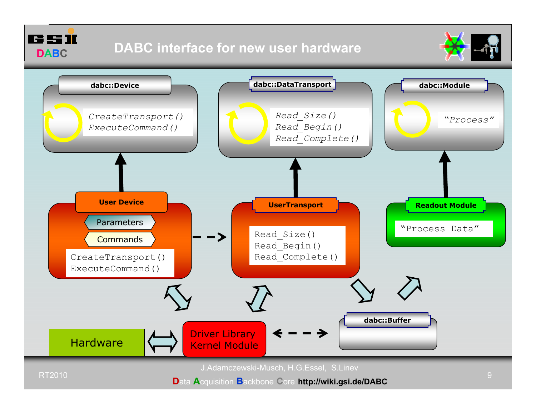



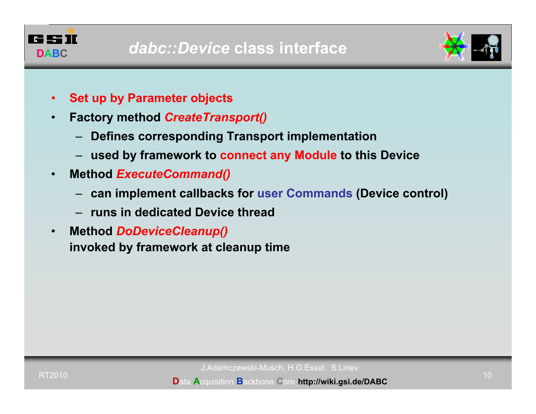



- •**Set up by Parameter objects**
- • **Factory method** *CreateTransport()*
	- **Defines corresponding Transport implementation**
	- **used by framework to connect any Module to this Device**
- • **Method** *ExecuteCommand()*
	- **can implement callbacks for user Commands (Device control)**
	- **runs in dedicated Device thread**
- $\bullet$  **Method** *DoDeviceCleanup()* **invoked by framework at cleanup time**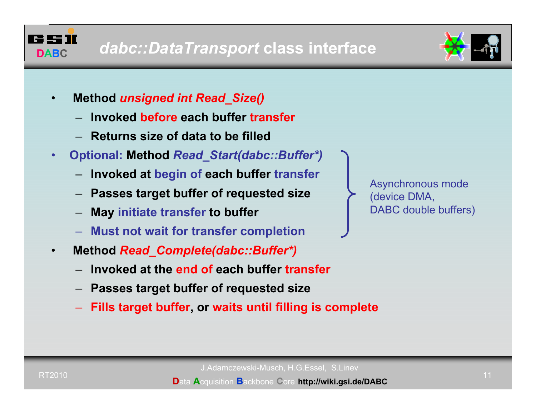



- • **Method** *unsigned int Read\_Size()*
	- **Invoked before each buffer transfer**
	- **Returns size of data to be filled**
- • **Optional: Method** *Read\_Start(dabc::Buffer\*)*
	- –**Invoked at begin of each buffer transfer**
	- **Passes target buffer of requested size**
	- **May initiate transfer to buffer**
	- **Must not wait for transfer completion**
- • **Method** *Read\_Complete(dabc::Buffer\*)*
	- –**Invoked at the end of each buffer transfer**
	- **Passes target buffer of requested size**
	- **Fills target buffer, or waits until filling is complete**

Asynchronous mode (device DMA, DABC double buffers)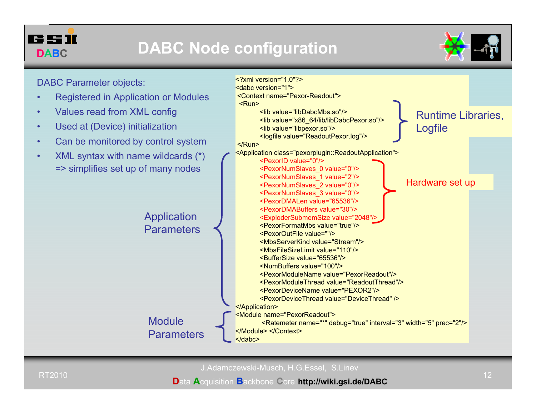

# **DABC Node configuration**

<?xml version="1.0"?><dabc version="1">

<Context name="Pexor-Readout">



DABC Parameter objects:

- •Registered in Application or Modules
- •Values read from XML config
- •Used at (Device) initialization
- •Can be monitored by control system
- • XML syntax with name wildcards (\*) => simplifies set up of many nodes



J.Adamczewski-Musch, H.G.Essel, S.Linev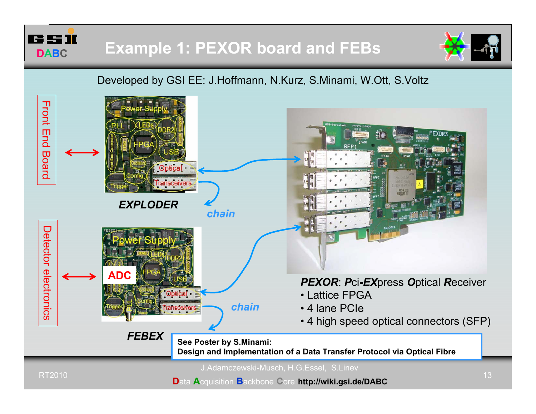



#### Developed by GSI EE: J.Hoffmann, N.Kurz, S.Minami, W.Ott, S.Voltz

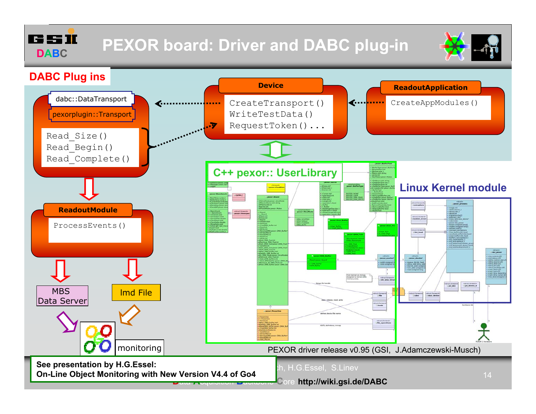r: 95 M **DABC**

# **PEXOR board: Driver and DABC plug-in**



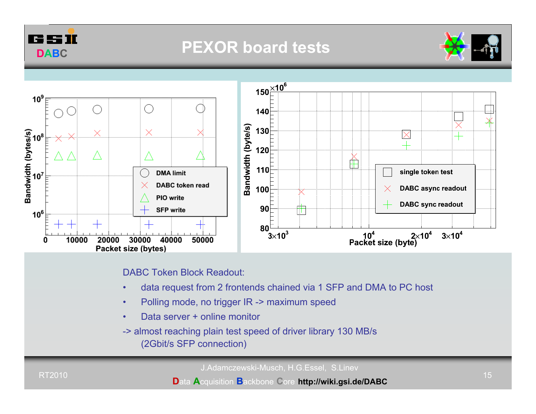

## **PEXOR board tests**





DABC Token Block Readout:

- •data request from 2 frontends chained via 1 SFP and DMA to PC host
- •Polling mode, no trigger IR -> maximum speed
- •Data server + online monitor

-> almost reaching plain test speed of driver library 130 MB/s (2Gbit/s SFP connection)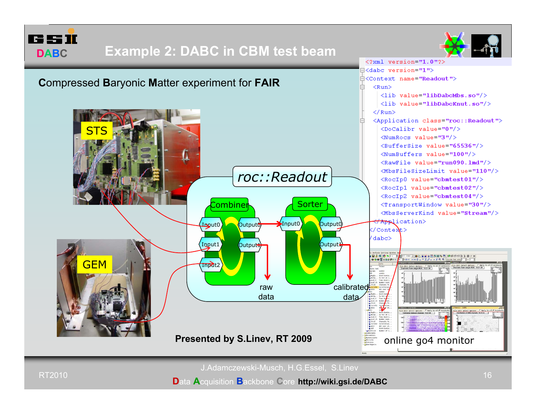

### **Example 2: DABC in CBM test beam**





J.Adamczewski-Musch, H.G.Essel, S.Linev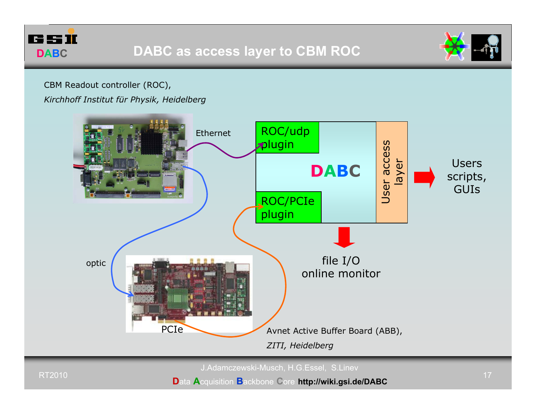



#### CBM Readout controller (ROC),

#### *Kirchhoff Institut für Physik, Heidelberg*